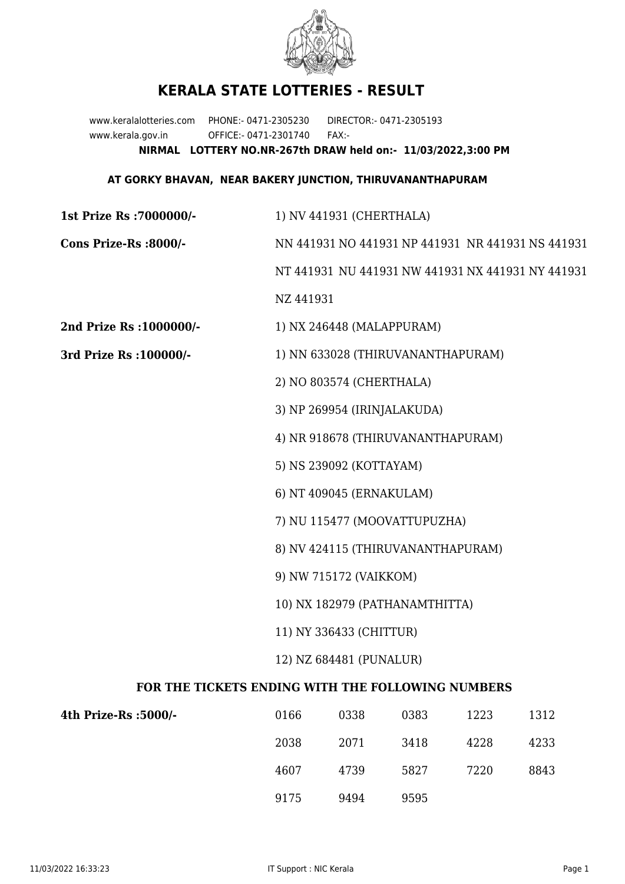

## **KERALA STATE LOTTERIES - RESULT**

www.keralalotteries.com PHONE:- 0471-2305230 DIRECTOR:- 0471-2305193 www.kerala.gov.in OFFICE:- 0471-2301740 FAX:- **NIRMAL LOTTERY NO.NR-267th DRAW held on:- 11/03/2022,3:00 PM**

## **AT GORKY BHAVAN, NEAR BAKERY JUNCTION, THIRUVANANTHAPURAM**

| 1st Prize Rs: 7000000/-                           | 1) NV 441931 (CHERTHALA)                                                                                                                                  |                           |      |      |      |  |
|---------------------------------------------------|-----------------------------------------------------------------------------------------------------------------------------------------------------------|---------------------------|------|------|------|--|
| Cons Prize-Rs :8000/-                             | NN 441931 NO 441931 NP 441931 NR 441931 NS 441931                                                                                                         |                           |      |      |      |  |
|                                                   | NT 441931 NU 441931 NW 441931 NX 441931 NY 441931                                                                                                         |                           |      |      |      |  |
|                                                   | NZ 441931                                                                                                                                                 |                           |      |      |      |  |
| 2nd Prize Rs : 1000000/-                          |                                                                                                                                                           | 1) NX 246448 (MALAPPURAM) |      |      |      |  |
| 3rd Prize Rs : 100000/-                           | 1) NN 633028 (THIRUVANANTHAPURAM)                                                                                                                         |                           |      |      |      |  |
|                                                   | 2) NO 803574 (CHERTHALA)                                                                                                                                  |                           |      |      |      |  |
|                                                   | 3) NP 269954 (IRINJALAKUDA)                                                                                                                               |                           |      |      |      |  |
|                                                   | 4) NR 918678 (THIRUVANANTHAPURAM)                                                                                                                         |                           |      |      |      |  |
|                                                   | 5) NS 239092 (KOTTAYAM)                                                                                                                                   |                           |      |      |      |  |
|                                                   | 6) NT 409045 (ERNAKULAM)<br>7) NU 115477 (MOOVATTUPUZHA)<br>8) NV 424115 (THIRUVANANTHAPURAM)<br>9) NW 715172 (VAIKKOM)<br>10) NX 182979 (PATHANAMTHITTA) |                           |      |      |      |  |
|                                                   |                                                                                                                                                           |                           |      |      |      |  |
|                                                   |                                                                                                                                                           |                           |      |      |      |  |
|                                                   |                                                                                                                                                           |                           |      |      |      |  |
|                                                   |                                                                                                                                                           |                           |      |      |      |  |
|                                                   | 11) NY 336433 (CHITTUR)                                                                                                                                   |                           |      |      |      |  |
|                                                   | 12) NZ 684481 (PUNALUR)                                                                                                                                   |                           |      |      |      |  |
| FOR THE TICKETS ENDING WITH THE FOLLOWING NUMBERS |                                                                                                                                                           |                           |      |      |      |  |
| 4th Prize-Rs :5000/-                              | 0166                                                                                                                                                      | 0338                      | 0383 | 1223 | 1312 |  |
|                                                   | 2038                                                                                                                                                      | 2071                      | 3418 | 4228 | 4233 |  |

9175 9494 9595

4607 4739 5827 7220 8843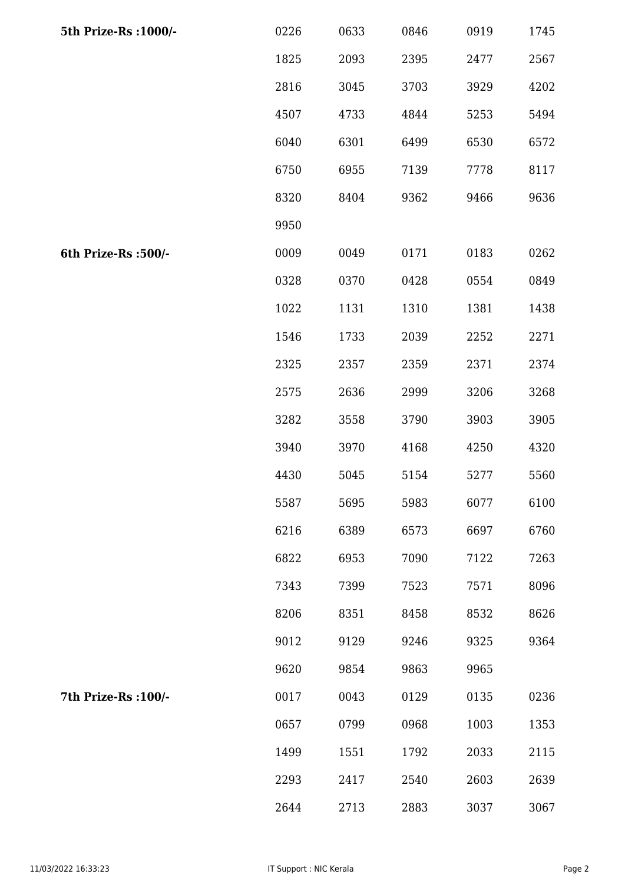| 5th Prize-Rs : 1000/- | 0226 | 0633 | 0846 | 0919 | 1745 |
|-----------------------|------|------|------|------|------|
|                       | 1825 | 2093 | 2395 | 2477 | 2567 |
|                       | 2816 | 3045 | 3703 | 3929 | 4202 |
|                       | 4507 | 4733 | 4844 | 5253 | 5494 |
|                       | 6040 | 6301 | 6499 | 6530 | 6572 |
|                       | 6750 | 6955 | 7139 | 7778 | 8117 |
|                       | 8320 | 8404 | 9362 | 9466 | 9636 |
|                       | 9950 |      |      |      |      |
| 6th Prize-Rs :500/-   | 0009 | 0049 | 0171 | 0183 | 0262 |
|                       | 0328 | 0370 | 0428 | 0554 | 0849 |
|                       | 1022 | 1131 | 1310 | 1381 | 1438 |
|                       | 1546 | 1733 | 2039 | 2252 | 2271 |
|                       | 2325 | 2357 | 2359 | 2371 | 2374 |
|                       | 2575 | 2636 | 2999 | 3206 | 3268 |
|                       | 3282 | 3558 | 3790 | 3903 | 3905 |
|                       | 3940 | 3970 | 4168 | 4250 | 4320 |
|                       | 4430 | 5045 | 5154 | 5277 | 5560 |
|                       | 5587 | 5695 | 5983 | 6077 | 6100 |
|                       | 6216 | 6389 | 6573 | 6697 | 6760 |
|                       | 6822 | 6953 | 7090 | 7122 | 7263 |
|                       | 7343 | 7399 | 7523 | 7571 | 8096 |
|                       | 8206 | 8351 | 8458 | 8532 | 8626 |
|                       | 9012 | 9129 | 9246 | 9325 | 9364 |
|                       | 9620 | 9854 | 9863 | 9965 |      |
| 7th Prize-Rs : 100/-  | 0017 | 0043 | 0129 | 0135 | 0236 |
|                       | 0657 | 0799 | 0968 | 1003 | 1353 |
|                       | 1499 | 1551 | 1792 | 2033 | 2115 |
|                       | 2293 | 2417 | 2540 | 2603 | 2639 |
|                       | 2644 | 2713 | 2883 | 3037 | 3067 |